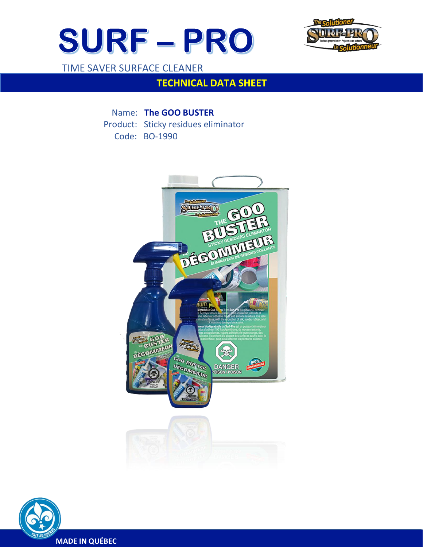



TIME SAVER SURFACE CLEANER

 $\overline{a}$ 

# **TECHNICAL DATA SHEET**

Name: **The GOO BUSTER**  Product: Sticky residues eliminator Code: BO-1990